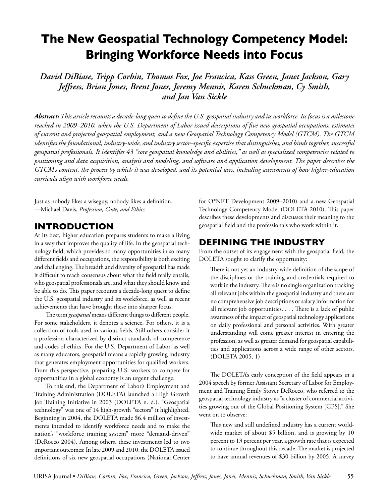# **The New Geospatial Technology Competency Model: Bringing Workforce Needs into Focus**

*David DiBiase, Tripp Corbin, Thomas Fox, Joe Francica, Kass Green, Janet Jackson, Gary Jeffress, Brian Jones, Brent Jones, Jeremy Mennis, Karen Schuckman, Cy Smith, and Jan Van Sickle*

*Abstract: This article recounts a decade-long quest to define the U.S. geospatial industry and its workforce. Its focus is a milestone reached in 2009–2010, when the U.S. Department of Labor issued descriptions of five new geospatial occupations, estimates of current and projected geospatial employment, and a new Geospatial Technology Competency Model (GTCM). The GTCM identifies the foundational, industry-wide, and industry sector–specific expertise that distinguishes, and binds together, successful geospatial professionals. It identifies 43 "core geospatial knowledge and abilities," as well as specialized competencies related to positioning and data acquisition, analysis and modeling, and software and application development. The paper describes the GTCM's content, the process by which it was developed, and its potential uses, including assessments of how higher-education curricula align with workforce needs.* 

Just as nobody likes a wiseguy, nobody likes a definition. —Michael Davis, *Profession, Code, and Ethics*

# **Introduction**

At its best, higher education prepares students to make a living in a way that improves the quality of life. In the geospatial technology field, which provides so many opportunities in so many different fields and occupations, the responsibility is both exciting and challenging. The breadth and diversity of geospatial has made it difficult to reach consensus about what the field really entails, who geospatial professionals are, and what they should know and be able to do. This paper recounts a decade-long quest to define the U.S. geospatial industry and its workforce, as well as recent achievements that have brought these into sharper focus.

The term *geospatial* means different things to different people. For some stakeholders, it denotes a science. For others, it is a collection of tools used in various fields. Still others consider it a profession characterized by distinct standards of competence and codes of ethics. For the U.S. Department of Labor, as well as many educators, geospatial means a rapidly growing industry that generates employment opportunities for qualified workers. From this perspective, preparing U.S. workers to compete for opportunities in a global economy is an urgent challenge.

To this end, the Department of Labor's Employment and Training Administration (DOLETA) launched a High Growth Job Training Initiative in 2003 (DOLETA n. d.). "Geospatial technology" was one of 14 high-growth "sectors" it highlighted. Beginning in 2004, the DOLETA made \$6.4 million of investments intended to identify workforce needs and to make the nation's "workforce training system" more "demand-driven" (DeRocco 2004). Among others, these investments led to two important outcomes: In late 2009 and 2010, the DOLETA issued definitions of six new geospatial occupations (National Center

for O\*NET Development 2009–2010) and a new Geospatial Technology Competency Model (DOLETA 2010). This paper describes these developments and discusses their meaning to the geospatial field and the professionals who work within it.

# **Defining the Industry**

From the outset of its engagement with the geospatial field, the DOLETA sought to clarify the opportunity:

There is not yet an industry-wide definition of the scope of the disciplines or the training and credentials required to work in the industry. There is no single organization tracking all relevant jobs within the geospatial industry and there are no comprehensive job descriptions or salary information for all relevant job opportunities. . . . There is a lack of public awareness of the impact of geospatial technology applications on daily professional and personal activities. With greater understanding will come greater interest in entering the profession, as well as greater demand for geospatial capabilities and applications across a wide range of other sectors. (DOLETA 2005, 1)

The DOLETA's early conception of the field appears in a 2004 speech by former Assistant Secretary of Labor for Employment and Training Emily Stover DeRocco, who referred to the geospatial technology industry as "a cluster of commercial activities growing out of the Global Positioning System [GPS]." She went on to observe:

This new and still undefined industry has a current worldwide market of about \$5 billion, and is growing by 10 percent to 13 percent per year, a growth rate that is expected to continue throughout this decade. The market is projected to have annual revenues of \$30 billion by 2005. A survey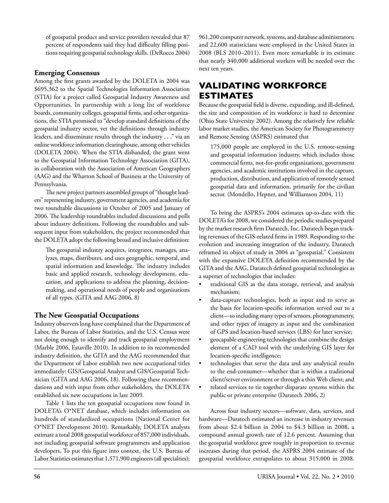of geospatial product and service providers revealed that 87 percent of respondents said they had difficulty filling positions requiring geospatial technology skills. (DeRocco 2004)

## **Emerging Consensus**

Among the first grants awarded by the DOLETA in 2004 was \$695,362 to the Spatial Technologies Information Association (STIA) for a project called Geospatial Industry Awareness and Opportunities. In partnership with a long list of workforce boards, community colleges, geospatial firms, and other organizations, the STIA promised to "develop standard definitions of the geospatial industry sector, vet the definitions through industry leaders, and disseminate results through the industry . . ." via an online workforce information clearinghouse, among other vehicles (DOLETA 2004). When the STIA disbanded, the grant went to the Geospatial Information Technology Association (GITA), in collaboration with the Association of American Geographers (AAG) and the Wharton School of Business at the University of Pennsylvania.

The new project partners assembled groups of "thought leaders" representing industry, government agencies, and academia for two roundtable discussions in October of 2005 and January of 2006. The leadership roundtables included discussions and polls about industry definitions. Following the roundtables and subsequent input from stakeholders, the project recommended that the DOLETA adopt the following broad and inclusive definition:

The geospatial industry acquires, integrates, manages, analyzes, maps, distributes, and uses geographic, temporal, and spatial information and knowledge. The industry includes basic and applied research, technology development, education, and applications to address the planning, decisionmaking, and operational needs of people and organizations of all types. (GITA and AAG 2006, 8)

# **The New Geospatial Occupations**

Industry observers long have complained that the Department of Labor, the Bureau of Labor Statistics, and the U.S. Census were not doing enough to identify and track geospatial employment (Marble 2006, Estaville 2010). In addition to its recommended industry definition, the GITA and the AAG recommended that the Department of Labor establish two new occupational titles immediately: GIS/Geospatial Analyst and GIS/Geospatial Technician (GITA and AAG 2006, 18). Following these recommendations and with input from other stakeholders, the DOLETA established six new occupations in late 2009.

Table 1 lists the ten geospatial occupations now found in DOLETA's O\*NET database, which includes information on hundreds of standardized occupations (National Center for O\*NET Development 2010). Remarkably, DOLETA analysts estimate a total 2008 geospatial workforce of 857,000 individuals, not including geospatial software programmers and application developers. To put this figure into context, the U.S. Bureau of Labor Statistics estimates that 1,571,900 engineers (all specialties);

961,200 computer network, systems, and database administrators; and 22,600 statisticians were employed in the United States in 2008 (BLS 2010–2011). Even more remarkable is its estimate that nearly 340,000 additional workers will be needed over the next ten years.

# **Validating Workforce Estimates**

Because the geospatial field is diverse, expanding, and ill-defined, the size and composition of its workforce is hard to determine (Ohio State University 2002). Among the relatively few reliable labor market studies, the American Society for Photogrammetry and Remote Sensing (ASPRS) estimated that

175,000 people are employed in the U.S. remote-sensing and geospatial information industry, which includes those commercial firms, not-for-profit organizations, government agencies, and academic institutions involved in the capture, production, distribution, and application of remotely sensed geospatial data and information, primarily for the civilian sector. (Mondello, Hepner, and Williamson 2004, 11)

To bring the ASPRS's 2004 estimates up-to-date with the DOLETA's for 2008, we considered the periodic studies prepared by the market research firm Daratech, Inc. Daratech began tracking revenues of the GIS-related firms in 1989. Responding to the evolution and increasing integration of the industry, Daratech reframed its object of study in 2004 as "geospatial." Consistent with the expansive DOLETA definition recommended by the GITA and the AAG, Daratech defined geospatial technologies as a superset of technologies that includes:

- traditional GIS as the data storage, retrieval, and analysis mechanism;
- data-capture technologies, both as input and to serve as the basis for location-specific information served out to a client—so including many types of sensors, photogrammetry, and other types of imagery as input and the combination of GPS and location-based services (LBS) for later service;
- • geocapable engineering technologies that combine the design element of a CAD tool with the underlying GIS layer for location-specific intelligence;
- technologies that serve the data and any analytical results to the end-consumer—whether that is within a traditional client/server environment or through a thin Web client; and
- related services to tie together disparate systems within the public or private enterprise (Daratech 2006, 2)

Across four industry sectors—software, data, services, and hardware—Daratech estimated an increase in industry revenues from about \$2.4 billion in 2004 to \$4.3 billion in 2008, a compound annual growth rate of 12.6 percent. Assuming that the geospatial workforce grew roughly in proportion to revenue increases during that period, the ASPRS 2004 estimate of the geospatial workforce extrapolates to about 315,000 in 2008.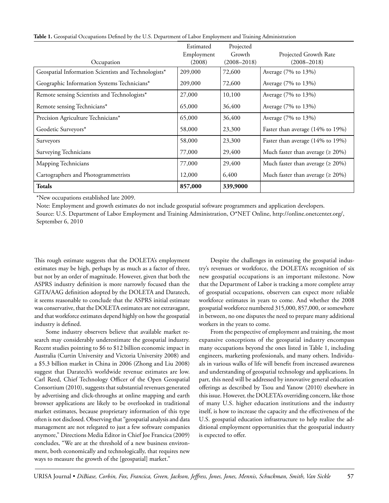|                                                      | Estimated  | Projected       |                                          |
|------------------------------------------------------|------------|-----------------|------------------------------------------|
|                                                      | Employment | Growth          | Projected Growth Rate                    |
| Occupation                                           | (2008)     | $(2008 - 2018)$ | $(2008 - 2018)$                          |
| Geospatial Information Scientists and Technologists* | 209,000    | 72,600          | Average (7% to 13%)                      |
| Geographic Information Systems Technicians*          | 209,000    | 72,600          | Average (7% to 13%)                      |
| Remote sensing Scientists and Technologists*         | 27,000     | 10,100          | Average (7% to 13%)                      |
| Remote sensing Technicians*                          | 65,000     | 36,400          | Average (7% to 13%)                      |
| Precision Agriculture Technicians*                   | 65,000     | 36,400          | Average (7% to 13%)                      |
| Geodetic Surveyors*                                  | 58,000     | 23,300          | Faster than average (14% to 19%)         |
| Surveyors                                            | 58,000     | 23,300          | Faster than average (14% to 19%)         |
| Surveying Technicians                                | 77,000     | 29,400          | Much faster than average ( $\geq 20\%$ ) |
| Mapping Technicians                                  | 77,000     | 29,400          | Much faster than average ( $\geq 20\%$ ) |
| Cartographers and Photogrammetrists                  | 12,000     | 6,400           | Much faster than average ( $\geq 20\%$ ) |
| <b>Totals</b>                                        | 857,000    | 339,9000        |                                          |

**Table 1.** Geospatial Occupations Defined by the U.S. Department of Labor Employment and Training Administration

\*New occupations established late 2009.

Note: Employment and growth estimates do not include geospatial software programmers and application developers. Source: U.S. Department of Labor Employment and Training Administration, O\*NET Online, http://online.onetcenter.org/, September 6, 2010

This rough estimate suggests that the DOLETA's employment estimates may be high, perhaps by as much as a factor of three, but not by an order of magnitude. However, given that both the ASPRS industry definition is more narrowly focused than the GITA/AAG definition adopted by the DOLETA and Daratech, it seems reasonable to conclude that the ASPRS initial estimate was conservative, that the DOLETA estimates are not extravagant, and that workforce estimates depend highly on how the geospatial industry is defined.

Some industry observers believe that available market research may considerably underestimate the geospatial industry. Recent studies pointing to \$6 to \$12 billion economic impact in Australia (Curtin University and Victoria University 2008) and a \$5.3 billion market in China in 2006 (Zhong and Liu 2008) suggest that Daratech's worldwide revenue estimates are low. Carl Reed, Chief Technology Officer of the Open Geospatial Consortium (2010), suggests that substantial revenues generated by advertising and click-throughs at online mapping and earth browser applications are likely to be overlooked in traditional market estimates, because proprietary information of this type often is not disclosed. Observing that "geospatial analysis and data management are not relegated to just a few software companies anymore," Directions Media Editor in Chief Joe Francica (2009) concludes, "We are at the threshold of a new business environment, both economically and technologically, that requires new ways to measure the growth of the [geospatial] market."

Despite the challenges in estimating the geospatial industry's revenues or workforce, the DOLETA's recognition of six new geospatial occupations is an important milestone. Now that the Department of Labor is tracking a more complete array of geospatial occupations, observers can expect more reliable workforce estimates in years to come. And whether the 2008 geospatial workforce numbered 315,000, 857,000, or somewhere in between, no one disputes the need to prepare many additional workers in the years to come.

From the perspective of employment and training, the most expansive conceptions of the geospatial industry encompass many occupations beyond the ones listed in Table 1, including engineers, marketing professionals, and many others. Individuals in various walks of life will benefit from increased awareness and understanding of geospatial technology and applications. In part, this need will be addressed by innovative general education offerings as described by Tsou and Yanow (2010) elsewhere in this issue. However, the DOLETA's overriding concern, like those of many U.S. higher education institutions and the industry itself, is how to increase the capacity and the effectiveness of the U.S. geospatial education infrastructure to help realize the additional employment opportunities that the geospatial industry is expected to offer.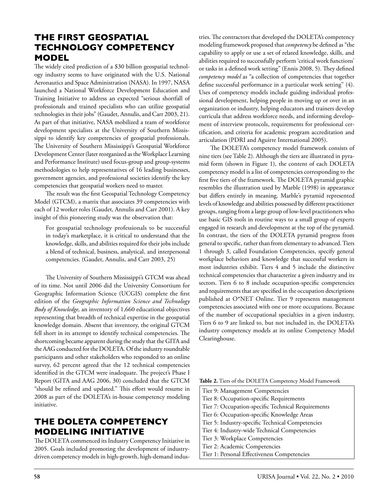# **The First Geospatial Technology Competency Model**

The widely cited prediction of a \$30 billion geospatial technology industry seems to have originated with the U.S. National Aeronautics and Space Administration (NASA). In 1997, NASA launched a National Workforce Development Education and Training Initiative to address an expected "serious shortfall of professionals and trained specialists who can utilize geospatial technologies in their jobs" (Gaudet, Annulis, and Carr 2003, 21). As part of that initiative, NASA mobilized a team of workforce development specialists at the University of Southern Mississippi to identify key competencies of geospatial professionals. The University of Southern Mississippi's Geospatial Workforce Development Center (later reorganized as the Workplace Learning and Performance Institute) used focus-group and group-systems methodologies to help representatives of 16 leading businesses, government agencies, and professional societies identify the key competencies that geospatial workers need to master.

The result was the first Geospatial Technology Competency Model (GTCM), a matrix that associates 39 competencies with each of 12 worker roles (Gaudet, Annulis and Carr 2001). A key insight of this pioneering study was the observation that:

For geospatial technology professionals to be successful in today's marketplace, it is critical to understand that the knowledge, skills, and abilities required for their jobs include a blend of technical, business, analytical, and interpersonal competencies. (Gaudet, Annulis, and Carr 2003, 25)

The University of Southern Mississippi's GTCM was ahead of its time. Not until 2006 did the University Consortium for Geographic Information Science (UCGIS) complete the first edition of the *Geographic Information Science and Technology Body of Knowledge,* an inventory of 1,660 educational objectives representing that breadth of technical expertise in the geospatial knowledge domain. Absent that inventory, the original GTCM fell short in its attempt to identify technical competencies. The shortcoming became apparent during the study that the GITA and the AAG conducted for the DOLETA. Of the industry roundtable participants and other stakeholders who responded to an online survey, 62 percent agreed that the 12 technical competencies identified in the GTCM were inadequate. The project's Phase I Report (GITA and AAG 2006, 30) concluded that the GTCM "should be refined and updated." This effort would resume in 2008 as part of the DOLETA's in-house competency modeling initiative.

# **The DOLETA Competency Modeling Initiative**

The DOLETA commenced its Industry Competency Initiative in 2005. Goals included promoting the development of industrydriven competency models in high-growth, high-demand industries. The contractors that developed the DOLETA's competency modeling framework proposed that *competency* be defined as "the capability to apply or use a set of related knowledge, skills, and abilities required to successfully perform 'critical work functions' or tasks in a defined work setting" (Ennis 2008, 5). They defined *competency model* as "a collection of competencies that together define successful performance in a particular work setting" (4). Uses of competency models include guiding individual professional development, helping people in moving up or over in an organization or industry, helping educators and trainers develop curricula that address workforce needs, and informing development of interview protocols, requirements for professional certification, and criteria for academic program accreditation and articulation (PDRI and Aguirre International 2005).

The DOLETA's competency model framework consists of nine tiers (see Table 2). Although the tiers are illustrated in pyramid form (shown in Figure 1), the content of each DOLETA competency model is a list of competencies corresponding to the first five tiers of the framework. The DOLETA pyramid graphic resembles the illustration used by Marble (1998) in appearance but differs entirely in meaning. Marble's pyramid represented levels of knowledge and abilities possessed by different practitioner groups, ranging from a large group of low-level practitioners who use basic GIS tools in routine ways to a small group of experts engaged in research and development at the top of the pyramid. In contrast, the tiers of the DOLETA pyramid progress from general to specific, rather than from elementary to advanced. Tiers 1 through 3, called Foundation Competencies, specify general workplace behaviors and knowledge that successful workers in most industries exhibit. Tiers 4 and 5 include the distinctive technical competencies that characterize a given industry and its sectors. Tiers 6 to 8 include occupation-specific competencies and requirements that are specified in the occupation descriptions published at O\*NET Online. Tier 9 represents management competencies associated with one or more occupations. Because of the number of occupational specialties in a given industry, Tiers 6 to 9 are linked to, but not included in, the DOLETA's industry competency models at its online Competency Model Clearinghouse.

|  |  | Table 2. Tiers of the DOLETA Competency Model Framework |  |  |
|--|--|---------------------------------------------------------|--|--|
|  |  |                                                         |  |  |

- Tier 9: Management Competencies
- Tier 8: Occupation-specific Requirements
- Tier 7: Occupation-specific Technical Requirements
- Tier 6: Occupation-specific Knowledge Areas
- Tier 5: Industry-specific Technical Competencies
- Tier 4: Industry-wide Technical Competencies
- Tier 3: Workplace Competencies Tier 2: Academic Competencies
- Tier 1: Personal Effectiveness Competencies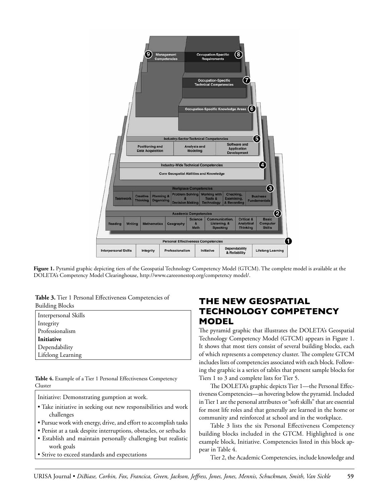

**Figure 1.** Pyramid graphic depicting tiers of the Geospatial Technology Competency Model (GTCM). The complete model is available at the DOLETA's Competency Model Clearinghouse, http://www.careeonestop.org/competency model/.

Table 3. Tier 1 Personal Effectiveness Competencies of Building Blocks

| Interpersonal Skills |
|----------------------|
| Integrity            |
| Professionalism      |
| Initiative           |
| Dependability        |
| Lifelong Learning    |

**Table 4.** Example of a Tier 1 Personal Effectiveness Competency Cluster

Initiative: Demonstrating gumption at work.

- Take initiative in seeking out new responsibilities and work challenges
- Pursue work with energy, drive, and effort to accomplish tasks
- Persist at a task despite interruptions, obstacles, or setbacks
- Establish and maintain personally challenging but realistic work goals
- Strive to exceed standards and expectations

# **The New Geospatial Technology Competency Model**

The pyramid graphic that illustrates the DOLETA's Geospatial Technology Competency Model (GTCM) appears in Figure 1. It shows that most tiers consist of several building blocks, each of which represents a competency cluster. The complete GTCM includes lists of competencies associated with each block. Following the graphic is a series of tables that present sample blocks for Tiers 1 to 3 and complete lists for Tier 5.

The DOLETA's graphic depicts Tier 1—the Personal Effectiveness Competencies—as hovering below the pyramid. Included in Tier 1 are the personal attributes or "soft skills" that are essential for most life roles and that generally are learned in the home or community and reinforced at school and in the workplace.

Table 3 lists the six Personal Effectiveness Competency building blocks included in the GTCM. Highlighted is one example block, Initiative. Competencies listed in this block appear in Table 4.

Tier 2, the Academic Competencies, include knowledge and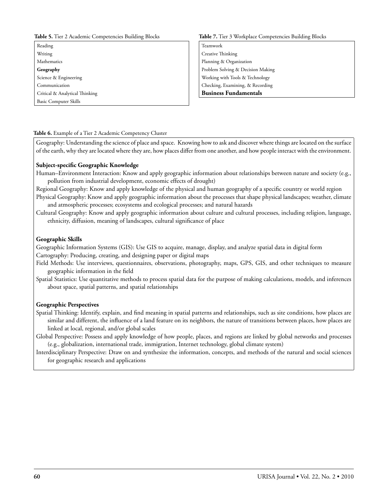#### **Table 5.** Tier 2 Academic Competencies Building Blocks

Reading Writing Mathematics **Geography** Science & Engineering Communication Critical & Analytical Thinking Basic Computer Skills

#### **Table 7.** Tier 3 Workplace Competencies Building Blocks

Teamwork Creative Thinking Planning & Organization Problem Solving & Decision Making Working with Tools & Technology Checking, Examining, & Recording **Business Fundamentals**

#### **Table 6.** Example of a Tier 2 Academic Competency Cluster

Geography: Understanding the science of place and space. Knowing how to ask and discover where things are located on the surface of the earth, why they are located where they are, how places differ from one another, and how people interact with the environment.

#### **Subject-specific Geographic Knowledge**

Human–Environment Interaction: Know and apply geographic information about relationships between nature and society (e.g., pollution from industrial development, economic effects of drought)

Regional Geography: Know and apply knowledge of the physical and human geography of a specific country or world region

Physical Geography: Know and apply geographic information about the processes that shape physical landscapes; weather, climate and atmospheric processes; ecosystems and ecological processes; and natural hazards

Cultural Geography: Know and apply geographic information about culture and cultural processes, including religion, language, ethnicity, diffusion, meaning of landscapes, cultural significance of place

#### **Geographic Skills**

Geographic Information Systems (GIS): Use GIS to acquire, manage, display, and analyze spatial data in digital form Cartography: Producing, creating, and designing paper or digital maps

Field Methods: Use interviews, questionnaires, observations, photography, maps, GPS, GIS, and other techniques to measure geographic information in the field

Spatial Statistics: Use quantitative methods to process spatial data for the purpose of making calculations, models, and inferences about space, spatial patterns, and spatial relationships

#### **Geographic Perspectives**

Spatial Thinking: Identify, explain, and find meaning in spatial patterns and relationships, such as site conditions, how places are similar and different, the influence of a land feature on its neighbors, the nature of transitions between places, how places are linked at local, regional, and/or global scales

Global Perspective: Possess and apply knowledge of how people, places, and regions are linked by global networks and processes (e.g., globalization, international trade, immigration, Internet technology, global climate system)

Interdisciplinary Perspective: Draw on and synthesize the information, concepts, and methods of the natural and social sciences for geographic research and applications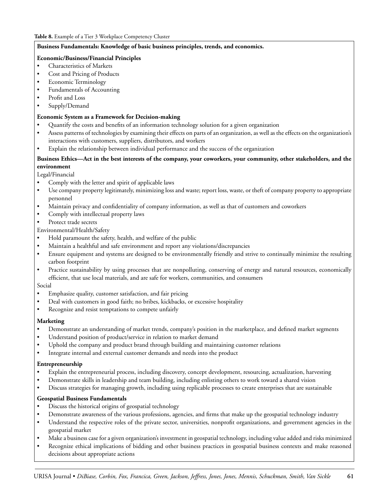### **Business Fundamentals: Knowledge of basic business principles, trends, and economics.**

### **Economic/Business/Financial Principles**

- Characteristics of Markets
- Cost and Pricing of Products
- • Economic Terminology
- Fundamentals of Accounting
- Profit and Loss
- Supply/Demand

### **Economic System as a Framework for Decision-making**

- • Quantify the costs and benefits of an information technology solution for a given organization
- Assess patterns of technologies by examining their effects on parts of an organization, as well as the effects on the organization's interactions with customers, suppliers, distributors, and workers
- Explain the relationship between individual performance and the success of the organization

### **Business Ethics—Act in the best interests of the company, your coworkers, your community, other stakeholders, and the environment**

Legal/Financial

- Comply with the letter and spirit of applicable laws
- • Use company property legitimately, minimizing loss and waste; report loss, waste, or theft of company property to appropriate personnel
- Maintain privacy and confidentiality of company information, as well as that of customers and coworkers
- Comply with intellectual property laws
- Protect trade secrets
- Environmental/Health/Safety
- Hold paramount the safety, health, and welfare of the public
- Maintain a healthful and safe environment and report any violations/discrepancies
- Ensure equipment and systems are designed to be environmentally friendly and strive to continually minimize the resulting carbon footprint
- Practice sustainability by using processes that are nonpolluting, conserving of energy and natural resources, economically efficient, that use local materials, and are safe for workers, communities, and consumers

### Social

- Emphasize quality, customer satisfaction, and fair pricing
- Deal with customers in good faith; no bribes, kickbacks, or excessive hospitality
- • Recognize and resist temptations to compete unfairly

### **Marketing**

- Demonstrate an understanding of market trends, company's position in the marketplace, and defined market segments
- Understand position of product/service in relation to market demand
- Uphold the company and product brand through building and maintaining customer relations
- Integrate internal and external customer demands and needs into the product

### **Entrepreneurship**

- Explain the entrepreneurial process, including discovery, concept development, resourcing, actualization, harvesting
- Demonstrate skills in leadership and team building, including enlisting others to work toward a shared vision
- Discuss strategies for managing growth, including using replicable processes to create enterprises that are sustainable

### **Geospatial Business Fundamentals**

- Discuss the historical origins of geospatial technology
- Demonstrate awareness of the various professions, agencies, and firms that make up the geospatial technology industry
- Understand the respective roles of the private sector, universities, nonprofit organizations, and government agencies in the geospatial market
- Make a business case for a given organization's investment in geospatial technology, including value added and risks minimized
- Recognize ethical implications of bidding and other business practices in geospatial business contexts and make reasoned decisions about appropriate actions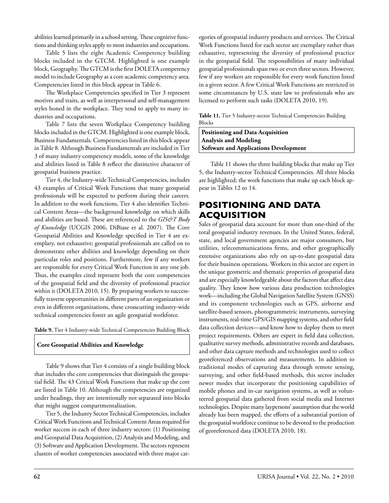abilities learned primarily in a school setting. These cognitive functions and thinking styles apply to most industries and occupations.

Table 5 lists the eight Academic Competency building blocks included in the GTCM. Highlighted is one example block, Geography. The GTCM is the first DOLETA competency model to include Geography as a core academic competency area. Competencies listed in this block appear in Table 6.

The Workplace Competencies specified in Tier 3 represent motives and traits, as well as interpersonal and self-management styles honed in the workplace. They tend to apply to many industries and occupations.

Table 7 lists the seven Workplace Competency building blocks included in the GTCM. Highlighted is one example block, Business Fundamentals. Competencies listed in this block appear in Table 8. Although Business Fundamentals are included in Tier 3 of many industry competency models, some of the knowledge and abilities listed in Table 8 reflect the distinctive character of geospatial business practice.

Tier 4, the Industry-wide Technical Competencies, includes 43 examples of Critical Work Functions that many geospatial professionals will be expected to perform during their careers. In addition to the work functions, Tier 4 also identifies Technical Content Areas—the background knowledge on which skills and abilities are based. These are referenced to the *GIS&T Body of Knowledge* (UCGIS 2006, DiBiase et al. 2007). The Core Geospatial Abilities and Knowledge specified in Tier 4 are exemplary, not exhaustive; geospatial professionals are called on to demonstrate other abilities and knowledge depending on their particular roles and positions. Furthermore, few if any workers are responsible for every Critical Work Function in any one job. Thus, the examples cited represent both the core competencies of the geospatial field and the diversity of professional practice within it (DOLETA 2010, 15). By preparing workers to successfully traverse opportunities in different parts of an organization or even in different organizations, these crosscutting industry-wide technical competencies foster an agile geospatial workforce.

#### **Table 9.** Tier 4 Industry-wide Technical Competencies Building Block

#### **Core Geospatial Abilities and Knowledge**

Table 9 shows that Tier 4 consists of a single building block that includes the core competencies that distinguish the geospatial field. The 43 Critical Work Functions that make up the core are listed in Table 10. Although the competencies are organized under headings, they are intentionally not separated into blocks that might suggest compartmentalization.

Tier 5, the Industry Sector Technical Competencies, includes Critical Work Functions and Technical Content Areas required for worker success in each of three industry sectors: (1) Positioning and Geospatial Data Acquisition, (2) Analysis and Modeling, and (3) Software and Application Development. The sectors represent clusters of worker competencies associated with three major categories of geospatial industry products and services. The Critical Work Functions listed for each sector are exemplary rather than exhaustive, representing the diversity of professional practice in the geospatial field. The responsibilities of many individual geospatial professionals span two or even three sectors. However, few if any workers are responsible for every work function listed in a given sector. A few Critical Work Functions are restricted in some circumstances by U.S. state law to professionals who are licensed to perform such tasks (DOLETA 2010, 19).

**Table 11.** Tier 5 Industry-sector Technical Competencies Building Blocks

**Positioning and Data Acquisition Analysis and Modeling Software and Applications Development**

Table 11 shows the three building blocks that make up Tier 5, the Industry-sector Technical Competencies. All three blocks are highlighted; the work functions that make up each block appear in Tables 12 to 14.

# **Positioning and Data Acquisition**

Sales of geospatial data account for more than one-third of the total geospatial industry revenues. In the United States, federal, state, and local government agencies are major consumers, but utilities, telecommunications firms, and other geographically extensive organizations also rely on up-to-date geospatial data for their business operations. Workers in this sector are expert in the unique geometric and thematic properties of geospatial data and are especially knowledgeable about the factors that affect data quality. They know how various data production technologies work—including the Global Navigation Satellite System (GNSS) and its component technologies such as GPS, airborne and satellite-based sensors, photogrammetric instruments, surveying instruments, real-time GPS/GIS mapping systems, and other field data collection devices—and know how to deploy them to meet project requirements. Others are expert in field data collection, qualitative survey methods, administrative records and databases, and other data capture methods and technologies used to collect georeferenced observations and measurements. In addition to traditional modes of capturing data through remote sensing, surveying, and other field-based methods, this sector includes newer modes that incorporate the positioning capabilities of mobile phones and in-car navigation systems, as well as volunteered geospatial data gathered from social media and Internet technologies. Despite many laypersons' assumption that the world already has been mapped, the efforts of a substantial portion of the geospatial workforce continue to be devoted to the production of georeferenced data (DOLETA 2010, 18).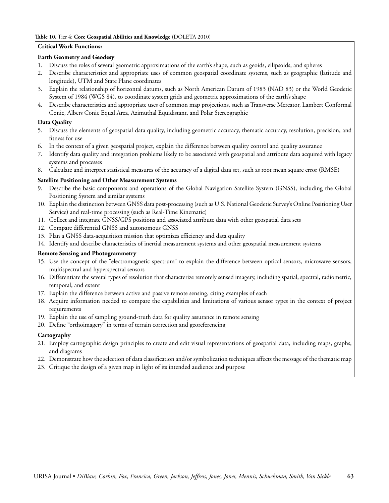#### **Table 10.** Tier 4: **Core Geospatial Abilities and Knowledge** (DOLETA 2010)

### **Critical Work Functions:**

### **Earth Geometry and Geodesy**

- 1. Discuss the roles of several geometric approximations of the earth's shape, such as geoids, ellipsoids, and spheres
- 2. Describe characteristics and appropriate uses of common geospatial coordinate systems, such as geographic (latitude and longitude), UTM and State Plane coordinates
- 3. Explain the relationship of horizontal datums, such as North American Datum of 1983 (NAD 83) or the World Geodetic System of 1984 (WGS 84), to coordinate system grids and geometric approximations of the earth's shape
- 4. Describe characteristics and appropriate uses of common map projections, such as Transverse Mercator, Lambert Conformal Conic, Albers Conic Equal Area, Azimuthal Equidistant, and Polar Stereographic

### **Data Quality**

- 5. Discuss the elements of geospatial data quality, including geometric accuracy, thematic accuracy, resolution, precision, and fitness for use
- 6. In the context of a given geospatial project, explain the difference between quality control and quality assurance
- 7. Identify data quality and integration problems likely to be associated with geospatial and attribute data acquired with legacy systems and processes
- 8. Calculate and interpret statistical measures of the accuracy of a digital data set, such as root mean square error (RMSE)

### **Satellite Positioning and Other Measurement Systems**

- 9. Describe the basic components and operations of the Global Navigation Satellite System (GNSS), including the Global Positioning System and similar systems
- 10. Explain the distinction between GNSS data post-processing (such as U.S. National Geodetic Survey's Online Positioning User Service) and real-time processing (such as Real-Time Kinematic)
- 11. Collect and integrate GNSS/GPS positions and associated attribute data with other geospatial data sets
- 12. Compare differential GNSS and autonomous GNSS
- 13. Plan a GNSS data-acquisition mission that optimizes efficiency and data quality
- 14. Identify and describe characteristics of inertial measurement systems and other geospatial measurement systems

### **Remote Sensing and Photogrammetry**

- 15. Use the concept of the "electromagnetic spectrum" to explain the difference between optical sensors, microwave sensors, multispectral and hyperspectral sensors
- 16. Differentiate the several types of resolution that characterize remotely sensed imagery, including spatial, spectral, radiometric, temporal, and extent
- 17. Explain the difference between active and passive remote sensing, citing examples of each
- 18. Acquire information needed to compare the capabilities and limitations of various sensor types in the context of project requirements
- 19. Explain the use of sampling ground-truth data for quality assurance in remote sensing
- 20. Define "orthoimagery" in terms of terrain correction and georeferencing

### **Cartography**

- 21. Employ cartographic design principles to create and edit visual representations of geospatial data, including maps, graphs, and diagrams
- 22. Demonstrate how the selection of data classification and/or symbolization techniques affects the message of the thematic map
- 23. Critique the design of a given map in light of its intended audience and purpose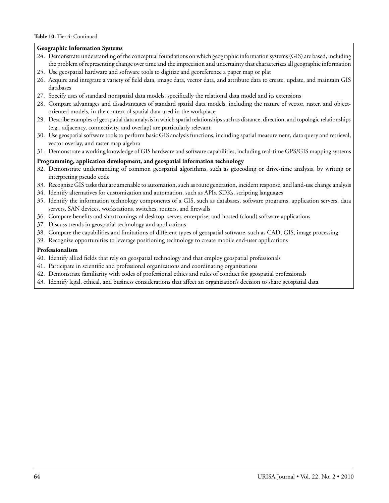#### **Table 10.** Tier 4: Continued

### **Geographic Information Systems**

- 24. Demonstrate understanding of the conceptual foundations on which geographic information systems (GIS) are based, including the problem of representing change over time and the imprecision and uncertainty that characterizes all geographic information
- 25. Use geospatial hardware and software tools to digitize and georeference a paper map or plat
- 26. Acquire and integrate a variety of field data, image data, vector data, and attribute data to create, update, and maintain GIS databases
- 27. Specify uses of standard nonspatial data models, specifically the relational data model and its extensions
- 28. Compare advantages and disadvantages of standard spatial data models, including the nature of vector, raster, and objectoriented models, in the context of spatial data used in the workplace
- 29. Describe examples of geospatial data analysis in which spatial relationships such as distance, direction, and topologic relationships (e.g., adjacency, connectivity, and overlap) are particularly relevant
- 30. Use geospatial software tools to perform basic GIS analysis functions, including spatial measurement, data query and retrieval, vector overlay, and raster map algebra
- 31. Demonstrate a working knowledge of GIS hardware and software capabilities, including real-time GPS/GIS mapping systems

#### **Programming, application development, and geospatial information technology**

- 32. Demonstrate understanding of common geospatial algorithms, such as geocoding or drive-time analysis, by writing or interpreting pseudo code
- 33. Recognize GIS tasks that are amenable to automation, such as route generation, incident response, and land-use change analysis
- 34. Identify alternatives for customization and automation, such as APIs, SDKs, scripting languages
- 35. Identify the information technology components of a GIS, such as databases, software programs, application servers, data servers, SAN devices, workstations, switches, routers, and firewalls
- 36. Compare benefits and shortcomings of desktop, server, enterprise, and hosted (cloud) software applications
- 37. Discuss trends in geospatial technology and applications
- 38. Compare the capabilities and limitations of different types of geospatial software, such as CAD, GIS, image processing
- 39. Recognize opportunities to leverage positioning technology to create mobile end-user applications

#### **Professionalism**

- 40. Identify allied fields that rely on geospatial technology and that employ geospatial professionals
- 41. Participate in scientific and professional organizations and coordinating organizations
- 42. Demonstrate familiarity with codes of professional ethics and rules of conduct for geospatial professionals
- 43. Identify legal, ethical, and business considerations that affect an organization's decision to share geospatial data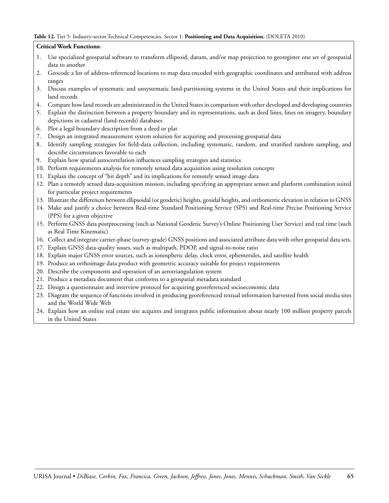#### **Table 12.** Tier 5: Industry-sector Technical Competencies. Sector 1: **Positioning and Data Acquisition.** (DOLETA 2010)

### **Critical Work Functions:**

- 1. Use specialized geospatial software to transform ellipsoid, datum, and/or map projection to georegister one set of geospatial data to another
- 2. Geocode a list of address-referenced locations to map data encoded with geographic coordinates and attributed with address ranges
- 3. Discuss examples of systematic and unsystematic land-partitioning systems in the United States and their implications for land records
- 4. Compare how land records are administrated in the United States in comparison with other developed and developing countries
- 5. Explain the distinction between a property boundary and its representations, such as deed lines, lines on imagery, boundary depictions in cadastral (land-records) databases
- 6. Plot a legal boundary description from a deed or plat
- 7. Design an integrated measurement system solution for acquiring and processing geospatial data
- 8. Identify sampling strategies for field-data collection, including systematic, random, and stratified random sampling, and describe circumstances favorable to each
- 9. Explain how spatial autocorrelation influences sampling strategies and statistics
- 10. Perform requirements analysis for remotely sensed data acquisition using resolution concepts
- 11. Explain the concept of "bit depth" and its implications for remotely sensed image data
- 12. Plan a remotely sensed data-acquisition mission, including specifying an appropriate sensor and platform combination suited for particular project requirements
- 13. Illustrate the differences between ellipsoidal (or geodetic) heights, geoidal heights, and orthometric elevation in relation to GNSS
- 14. Make and justify a choice between Real-time Standard Positioning Service (SPS) and Real-time Precise Positioning Service (PPS) for a given objective
- 15. Perform GNSS data postprocessing (such as National Geodetic Survey's Online Positioning User Service) and real time (such as Real Time Kinematic)
- 16. Collect and integrate carrier-phase (survey-grade) GNSS positions and associated attribute data with other geospatial data sets.
- 17. Explain GNSS data-quality issues, such as multipath, PDOP, and signal-to-noise ratio
- 18. Explain major GNSS error sources, such as ionospheric delay, clock error, ephemerides, and satellite health
- 19. Produce an orthoimage data product with geometric accuracy suitable for project requirements
- 20. Describe the components and operation of an aerotriangulation system
- 21. Produce a metadata document that conforms to a geospatial metadata standard
- 22. Design a questionnaire and interview protocol for acquiring georeferenced socioeconomic data
- 23. Diagram the sequence of functions involved in producing georeferenced textual information harvested from social media sites and the World Wide Web
- 24. Explain how an online real estate site acquires and integrates public information about nearly 100 million property parcels in the United States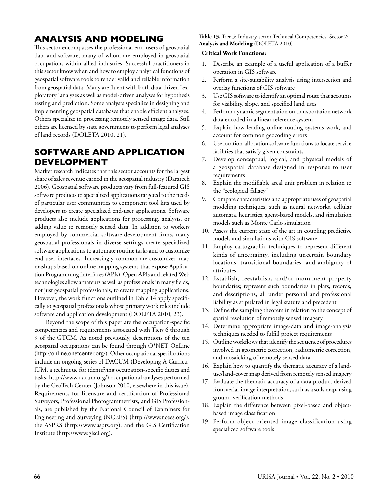# **Analysis and Modeling**

This sector encompasses the professional end-users of geospatial data and software, many of whom are employed in geospatial occupations within allied industries. Successful practitioners in this sector know when and how to employ analytical functions of geospatial software tools to render valid and reliable information from geospatial data. Many are fluent with both data-driven "exploratory" analyses as well as model-driven analyses for hypothesis testing and prediction. Some analysts specialize in designing and implementing geospatial databases that enable efficient analyses. Others specialize in processing remotely sensed image data. Still others are licensed by state governments to perform legal analyses of land records (DOLETA 2010, 21).

# **Software and Application Development**

Market research indicates that this sector accounts for the largest share of sales revenue earned in the geospatial industry (Daratech 2006). Geospatial software products vary from full-featured GIS software products to specialized applications targeted to the needs of particular user communities to component tool kits used by developers to create specialized end-user applications. Software products also include applications for processing, analysis, or adding value to remotely sensed data. In addition to workers employed by commercial software-development firms, many geospatial professionals in diverse settings create specialized software applications to automate routine tasks and to customize end-user interfaces. Increasingly common are customized map mashups based on online mapping systems that expose Application Programming Interfaces (APIs). Open APIs and related Web technologies allow amateurs as well as professionals in many fields, not just geospatial professionals, to create mapping applications. However, the work functions outlined in Table 14 apply specifically to geospatial professionals whose primary work roles include software and application development (DOLETA 2010, 23).

Beyond the scope of this paper are the occupation-specific competencies and requirements associated with Tiers 6 through 9 of the GTCM. As noted previously, descriptions of the ten geospatial occupations can be found through O\*NET OnLine (http://online.onetcenter.org/). Other occupational specifications include an ongoing series of DACUM (Developing A CurriculUM, a technique for identifying occupation-specific duties and tasks, http://www.dacum.org/) occupational analyses performed by the GeoTech Center (Johnson 2010, elsewhere in this issue). Requirements for licensure and certification of Professional Surveyors, Professional Photogrammetrists, and GIS Professionals, are published by the National Council of Examiners for Engineering and Surveying (NCEES) (http://www.ncees.org/), the ASPRS (http://www.asprs.org), and the GIS Certification Institute (http://www.gisci.org).

#### **Table 13.** Tier 5: Industry-sector Technical Competencies. Sector 2: **Analysis and Modeling** (DOLETA 2010)

### **Critical Work Functions:**

- 1. Describe an example of a useful application of a buffer operation in GIS software
- 2. Perform a site-suitability analysis using intersection and overlay functions of GIS software
- 3. Use GIS software to identify an optimal route that accounts for visibility, slope, and specified land uses
- 4. Perform dynamic segmentation on transportation network data encoded in a linear reference system
- 5. Explain how leading online routing systems work, and account for common geocoding errors
- 6. Use location-allocation software functions to locate service facilities that satisfy given constraints
- 7. Develop conceptual, logical, and physical models of a geospatial database designed in response to user requirements
- 8. Explain the modifiable areal unit problem in relation to the "ecological fallacy"
- 9. Compare characteristics and appropriate uses of geospatial modeling techniques, such as neural networks, cellular automata, heuristics, agent-based models, and simulation models such as Monte Carlo simulation
- 10. Assess the current state of the art in coupling predictive models and simulations with GIS software
- 11. Employ cartographic techniques to represent different kinds of uncertainty, including uncertain boundary locations, transitional boundaries, and ambiguity of attributes
- 12. Establish, reestablish, and/or monument property boundaries; represent such boundaries in plats, records, and descriptions, all under personal and professional liability as stipulated in legal statute and precedent
- 13. Define the sampling theorem in relation to the concept of spatial resolution of remotely sensed imagery
- 14. Determine appropriate image-data and image-analysis techniques needed to fulfill project requirements
- 15. Outline workflows that identify the sequence of procedures involved in geometric correction, radiometric correction, and mosaicking of remotely sensed data
- 16. Explain how to quantify the thematic accuracy of a landuse/land-cover map derived from remotely sensed imagery
- 17. Evaluate the thematic accuracy of a data product derived from aerial-image interpretation, such as a soils map, using ground-verification methods
- 18. Explain the difference between pixel-based and objectbased image classification
- 19. Perform object-oriented image classification using specialized software tools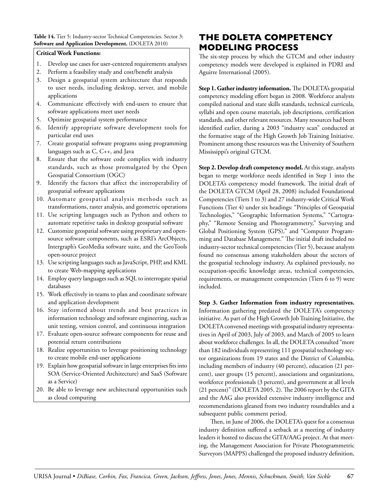### Table 14. Tier 5: Industry-sector Technical Competencies. Sector 3: **Software and Application Development.** (DOLETA 2010)

### **Critical Work Functions:**

- 1. Develop use cases for user-centered requirements analyses
- 2. Perform a feasibility study and cost/benefit analysis
- 3. Design a geospatial system architecture that responds to user needs, including desktop, server, and mobile applications
- 4. Communicate effectively with end-users to ensure that software applications meet user needs
- 5. Optimize geospatial system performance
- 6. Identify appropriate software development tools for particular end uses
- 7. Create geospatial software programs using programming languages such as C, C++, and Java
- 8. Ensure that the software code complies with industry standards, such as those promulgated by the Open Geospatial Consortium (OGC)
- 9. Identify the factors that affect the interoperability of geospatial software applications
- 10. Automate geospatial analysis methods such as transformations, raster analysis, and geometric operations
- 11. Use scripting languages such as Python and others to automate repetitive tasks in desktop geospatial software
- 12. Customize geospatial software using proprietary and opensource software components, such as ESRI's ArcObjects, Intergraph's GeoMedia software suite, and the GeoTools open-source project
- 13. Use scripting languages such as JavaScript, PHP, and KML to create Web-mapping applications
- 14. Employ query languages such as SQL to interrogate spatial databases
- 15. Work effectively in teams to plan and coordinate software and application development
- 16. Stay informed about trends and best practices in information technology and software engineering, such as unit testing, version control, and continuous integration
- 17. Evaluate open-source software components for reuse and potential return contributions
- 18. Realize opportunities to leverage positioning technology to create mobile end-user applications
- 19. Explain how geospatial software in large enterprises fits into SOA (Service-Oriented Architecture) and SaaS (Software as a Service)
- 20. Be able to leverage new architectural opportunities such as cloud computing

# **The DOLETA Competency Modeling Process**

The six-step process by which the GTCM and other industry competency models were developed is explained in PDRI and Aguirre International (2005).

**Step 1. Gather industry information.** The DOLETA's geospatial competency modeling effort began in 2008. Workforce analysts compiled national and state skills standards, technical curricula, syllabi and open course materials, job descriptions, certification standards, and other relevant resources. Many resources had been identified earlier, during a 2003 "industry scan" conducted at the formative stage of the High Growth Job Training Initiative. Prominent among these resources was the University of Southern Mississippi's original GTCM.

**Step 2. Develop draft competency model.** At this stage, analysts began to merge workforce needs identified in Step 1 into the DOLETA's competency model framework. The initial draft of the DOLETA GTCM (April 28, 2008) included Foundational Competencies (Tiers 1 to 3) and 27 industry-wide Critical Work Functions (Tier 4) under six headings: "Principles of Geospatial Technologies," "Geographic Information Systems," "Cartography," "Remote Sensing and Photogrammetry," Surveying and Global Positioning System (GPS)," and "Computer Programming and Database Management." The initial draft included no industry-sector technical competencies (Tier 5), because analysts found no consensus among stakeholders about the sectors of the geospatial technology industry. As explained previously, no occupation-specific knowledge areas, technical competencies, requirements, or management competencies (Tiers 6 to 9) were included.

**Step 3. Gather Information from industry representatives.** Information gathering predated the DOLETA's competency initiative. As part of the High Growth Job Training Initiative, the DOLETA convened meetings with geospatial industry representatives in April of 2003, July of 2003, and March of 2005 to learn about workforce challenges. In all, the DOLETA consulted "more than 182 individuals representing 111 geospatial technology sector organizations from 19 states and the District of Columbia, including members of industry (40 percent), education (21 percent), user groups (15 percent), associations and organizations, workforce professionals (3 percent), and government at all levels (21 percent)" (DOLETA 2005, 2).The 2006 report by the GITA and the AAG also provided extensive industry intelligence and recommendations gleaned from two industry roundtables and a subsequent public comment period.

Then, in June of 2006, the DOLETA's quest for a consensus industry definition suffered a setback at a meeting of industry leaders it hosted to discuss the GITA/AAG project. At that meeting, the Management Association for Private Photogrammetric Surveyors (MAPPS) challenged the proposed industry definition,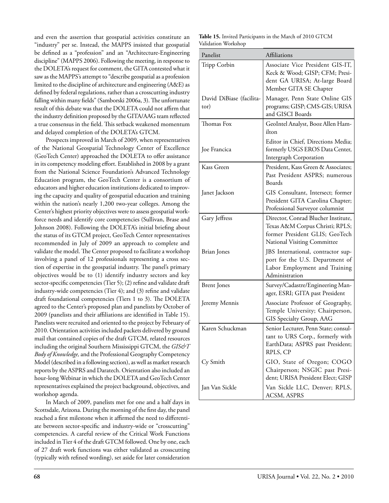and even the assertion that geospatial activities constitute an "industry" per se. Instead, the MAPPS insisted that geospatial be defined as a "profession" and an "Architecture-Engineering discipline" (MAPPS 2006). Following the meeting, in response to the DOLETA's request for comment, the GITA contested what it saw as the MAPPS's attempt to "describe geospatial as a profession limited to the discipline of architecture and engineering (A&E) as defined by federal regulations, rather than a crosscutting industry falling within many fields" (Samborski 2006a, 3). The unfortunate result of this debate was that the DOLETA could not affirm that the industry definition proposed by the GITA/AAG team reflected a true consensus in the field. This setback weakened momentum and delayed completion of the DOLETA's GTCM.

Prospects improved in March of 2009, when representatives of the National Geospatial Technology Center of Excellence (GeoTech Center) approached the DOLETA to offer assistance in its competency modeling effort. Established in 2008 by a grant from the National Science Foundation's Advanced Technology Education program, the GeoTech Center is a consortium of educators and higher education institutions dedicated to improving the capacity and quality of geospatial education and training within the nation's nearly 1,200 two-year colleges. Among the Center's highest priority objectives were to assess geospatial workforce needs and identify core competencies (Sullivan, Brase and Johnson 2008). Following the DOLETA's initial briefing about the status of its GTCM project, GeoTech Center representatives recommended in July of 2009 an approach to complete and validate the model. The Center proposed to facilitate a workshop involving a panel of 12 professionals representing a cross section of expertise in the geospatial industry. The panel's primary objectives would be to (1) identify industry sectors and key sector-specific competencies (Tier 5); (2) refine and validate draft industry-wide competencies (Tier 4); and (3) refine and validate draft foundational competencies (Tiers 1 to 3). The DOLETA agreed to the Center's proposed plan and panelists by October of 2009 (panelists and their affiliations are identified in Table 15). Panelists were recruited and oriented to the project by February of 2010. Orientation activities included packets delivered by ground mail that contained copies of the draft GTCM, related resources including the original Southern Mississippi GTCM, the *GIS&T Body of Knowledge,* and the Professional Geography Competency Model (described in a following section), as well as market research reports by the ASPRS and Daratech. Orientation also included an hour-long Webinar in which the DOLETA and GeoTech Center representatives explained the project background, objectives, and workshop agenda.

In March of 2009, panelists met for one and a half days in Scottsdale, Arizona. During the morning of the first day, the panel reached a first milestone when it affirmed the need to differentiate between sector-specific and industry-wide or "crosscutting" competencies. A careful review of the Critical Work Functions included in Tier 4 of the draft GTCM followed. One by one, each of 27 draft work functions was either validated as crosscutting (typically with refined wording), set aside for later consideration

|                     | Table 15. Invited Participants in the March of 2010 GTCM |
|---------------------|----------------------------------------------------------|
| Validation Workshop |                                                          |

| Panelist                         | <b>Affiliations</b>                                                                                                                     |
|----------------------------------|-----------------------------------------------------------------------------------------------------------------------------------------|
| Tripp Corbin                     | Associate Vice President GIS-IT,<br>Keck & Wood; GISP; CFM; Presi-<br>dent GA URISA; At-large Board<br>Member GITA SE Chapter           |
| David DiBiase (facilita-<br>tor) | Manager, Penn State Online GIS<br>programs; GISP; CMS-GIS; URISA<br>and GISCI Boards                                                    |
| Thomas Fox                       | GeoIntel Analyst, Booz Allen Ham-<br>ilton                                                                                              |
| Joe Francica                     | Editor in Chief, Directions Media;<br>formerly USGS EROS Data Center,<br>Intergraph Corporation                                         |
| Kass Green                       | President, Kass Green & Associates;<br>Past President ASPRS; numerous<br>Boards                                                         |
| Janet Jackson                    | GIS Consultant, Intersect; former<br>President GITA Carolina Chapter;<br>Professional Surveyor columnist                                |
| Gary Jeffress                    | Director, Conrad Blucher Institute,<br>Texas A&M Corpus Christi; RPLS;<br>former President GLIS; GeoTech<br>National Visiting Committee |
| <b>Brian Jones</b>               | JBS International, contractor sup-<br>port for the U.S. Department of<br>Labor Employment and Training<br>Administration                |
| <b>Brent Jones</b>               | Survey/Cadastre/Engineering Man-<br>ager, ESRI; GITA past President                                                                     |
| Jeremy Mennis                    | Associate Professor of Geography,<br>Temple University; Chairperson,<br>GIS Specialty Group, AAG                                        |
| Karen Schuckman                  | Senior Lecturer, Penn State; consul-<br>tant to URS Corp., formerly with<br>EarthData; ASPRS past President;<br>RPLS, CP                |
| Cy Smith                         | GIO, State of Oregon; COGO<br>Chairperson; NSGIC past Presi-<br>dent; URISA President Elect; GISP                                       |
| Jan Van Sickle                   | Van Sickle LLC, Denver; RPLS,<br>ACSM, ASPRS                                                                                            |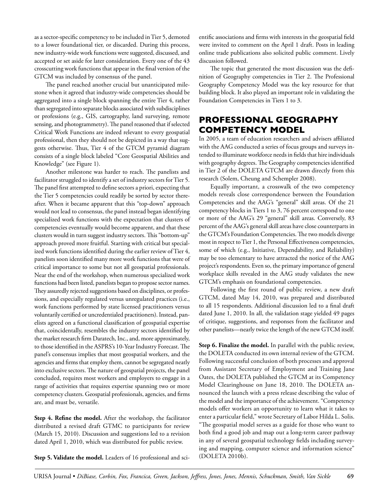as a sector-specific competency to be included in Tier 5, demoted to a lower foundational tier, or discarded. During this process, new industry-wide work functions were suggested, discussed, and accepted or set aside for later consideration. Every one of the 43 crosscutting work functions that appear in the final version of the GTCM was included by consensus of the panel.

The panel reached another crucial but unanticipated milestone when it agreed that industry-wide competencies should be aggregated into a single block spanning the entire Tier 4, rather than segregated into separate blocks associated with subdisciplines or professions (e.g., GIS, cartography, land surveying, remote sensing, and photogrammetry). The panel reasoned that if selected Critical Work Functions are indeed relevant to every geospatial professional, then they should not be depicted in a way that suggests otherwise. Thus, Tier 4 of the GTCM pyramid diagram consists of a single block labeled "Core Geospatial Abilities and Knowledge" (see Figure 1).

Another milestone was harder to reach. The panelists and facilitator struggled to identify a set of industry sectors for Tier 5. The panel first attempted to define sectors a priori, expecting that the Tier 5 competencies could readily be sorted by sector thereafter. When it became apparent that this "top-down" approach would not lead to consensus, the panel instead began identifying specialized work functions with the expectation that clusters of competencies eventually would become apparent, and that these clusters would in turn suggest industry sectors. This "bottom-up" approach proved more fruitful. Starting with critical but specialized work functions identified during the earlier review of Tier 4, panelists soon identified many more work functions that were of critical importance to some but not all geospatial professionals. Near the end of the workshop, when numerous specialized work functions had been listed, panelists began to propose sector names. They assuredly rejected suggestions based on disciplines, or professions, and especially regulated versus unregulated practices (i.e., work functions performed by state licensed practitioners versus voluntarily certified or uncredentialed practitioners). Instead, panelists agreed on a functional classification of geospatial expertise that, coincidentally, resembles the industry sectors identified by the market research firm Daratech, Inc., and, more approximately, to those identified in the ASPRS's 10-Year Industry Forecast. The panel's consensus implies that most geospatial workers, and the agencies and firms that employ them, cannot be segregated neatly into exclusive sectors. The nature of geospatial projects, the panel concluded, requires most workers and employers to engage in a range of activities that requires expertise spanning two or more competency clusters. Geospatial professionals, agencies, and firms are, and must be, versatile.

**Step 4. Refine the model.** After the workshop, the facilitator distributed a revised draft GTMC to participants for review (March 15, 2010). Discussion and suggestions led to a revision dated April 1, 2010, which was distributed for public review.

**Step 5. Validate the model.** Leaders of 16 professional and sci-

entific associations and firms with interests in the geospatial field were invited to comment on the April 1 draft. Posts in leading online trade publications also solicited public comment. Lively discussion followed.

The topic that generated the most discussion was the definition of Geography competencies in Tier 2. The Professional Geography Competency Model was the key resource for that building block. It also played an important role in validating the Foundation Competencies in Tiers 1 to 3.

# **Professional Geography Competency Model**

In 2005, a team of education researchers and advisers affiliated with the AAG conducted a series of focus groups and surveys intended to illuminate workforce needs in fields that hire individuals with geography degrees. The Geography competencies identified in Tier 2 of the DOLETA GTCM are drawn directly from this research (Solem, Cheung and Schempler 2008).

Equally important, a crosswalk of the two competency models reveals close correspondence between the Foundation Competencies and the AAG's "general" skill areas. Of the 21 competency blocks in Tiers 1 to 3, 76 percent correspond to one or more of the AAG's 29 "general" skill areas. Conversely, 83 percent of the AAG's general skill areas have close counterparts in the GTCM's Foundation Competencies. The two models diverge most in respect to Tier 1, the Personal Effectiveness competencies, some of which (e.g., Initiative, Dependability, and Reliability) may be too elementary to have attracted the notice of the AAG project's respondents. Even so, the primary importance of general workplace skills revealed in the AAG study validates the new GTCM's emphasis on foundational competencies.

Following the first round of public review, a new draft GTCM, dated May 14, 2010, was prepared and distributed to all 15 respondents. Additional discussion led to a final draft dated June 1, 2010. In all, the validation stage yielded 49 pages of critique, suggestions, and responses from the facilitator and other panelists—nearly twice the length of the new GTCM itself.

**Step 6. Finalize the model.** In parallel with the public review, the DOLETA conducted its own internal review of the GTCM. Following successful conclusion of both processes and approval from Assistant Secretary of Employment and Training Jane Oates, the DOLETA published the GTCM at its Competency Model Clearinghouse on June 18, 2010. The DOLETA announced the launch with a press release describing the value of the model and the importance of the achievement. "Competency models offer workers an opportunity to learn what it takes to enter a particular field," wrote Secretary of Labor Hilda L. Solis. "The geospatial model serves as a guide for those who want to both find a good job and map out a long-term career pathway in any of several geospatial technology fields including surveying and mapping, computer science and information science" (DOLETA 2010b).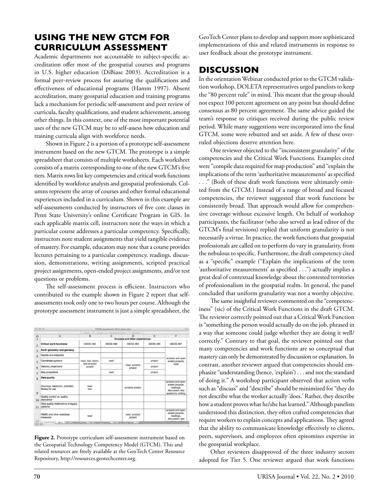# **Using the New GTCM for Curriculum Assessment**

Academic departments not accountable to subject-specific accreditation offer most of the geospatial courses and programs in U.S. higher education (DiBiase 2003). Accreditation is a formal peer-review process for assuring the qualifications and effectiveness of educational programs (Hamm 1997). Absent accreditation, many geospatial education and training programs lack a mechanism for periodic self-assessment and peer review of curricula, faculty qualifications, and student achievement, among other things. In this context, one of the most important potential uses of the new GTCM may be to self-assess how education and training curricula align with workforce needs.

Shown in Figure 2 is a portion of a prototype self-assessment instrument based on the new GTCM. The prototype is a simple spreadsheet that consists of multiple worksheets. Each worksheet consists of a matrix corresponding to one of the new GTCM's five tiers. Matrix rows list key competencies and critical work functions identified by workforce analysts and geospatial professionals. Columns represent the array of courses and other formal educational experiences included in a curriculum. Shown in this example are self-assessments conducted by instructors of five core classes in Penn State University's online Certificate Program in GIS. In each applicable matrix cell, instructors note the ways in which a particular course addresses a particular competency. Specifically, instructors note student assignments that yield tangible evidence of mastery. For example, educators may note that a course provides lectures pertaining to a particular competency, readings, discussion, demonstrations, writing assignments, scripted practical project assignments, open-ended project assignments, and/or test questions or problems.

The self-assessment process is efficient. Instructors who contributed to the example shown in Figure 2 report that selfassessments took only one to two hours per course. Although the prototype assessment instrument is just a simple spreadsheet, the

| nnn                     |                                                                                                                                                       |                                      | <b>GTCM_assessment_Penn_State.xlsx</b> |                           |                 | $\bigcirc$                                                                                    |
|-------------------------|-------------------------------------------------------------------------------------------------------------------------------------------------------|--------------------------------------|----------------------------------------|---------------------------|-----------------|-----------------------------------------------------------------------------------------------|
|                         |                                                                                                                                                       | Gloss et p.                          | SmertArt Graphics<br>Cherta:           | interesting or            |                 |                                                                                               |
| $\ddot{\circ}$          | A                                                                                                                                                     | B                                    | C                                      | n                         | E               | F                                                                                             |
|                         |                                                                                                                                                       | Courses and other experiences:       |                                        |                           |                 |                                                                                               |
| $\overline{a}$          | <b>Critical work functions:</b>                                                                                                                       | <b>GEOG 482</b>                      | <b>GEOG 483</b>                        | <b>GEOG 484</b>           | <b>GEOG 485</b> | <b>GEOG 487</b>                                                                               |
| $\overline{3}$          | Earth geometry and geodesy                                                                                                                            |                                      |                                        |                           |                 | scripted and open<br>ended projects,<br>tests                                                 |
| 4                       | Geoids and ellipsoids                                                                                                                                 |                                      |                                        |                           |                 |                                                                                               |
| 5                       | Coordinate systems                                                                                                                                    | read, test, demo,<br>and scripted    | read                                   |                           | project         |                                                                                               |
| 6                       | Datums, projections                                                                                                                                   | read, scripted<br>project<br>project | project                                |                           |                 |                                                                                               |
| ż                       | Map projections                                                                                                                                       |                                      | read                                   |                           | project         |                                                                                               |
| $\overline{\mathbf{R}}$ | <b>Data quality</b>                                                                                                                                   |                                      |                                        |                           |                 |                                                                                               |
| $\mathbf{Q}$            | Accuracy, resolution, precision,<br>fitness for use                                                                                                   | read<br>test                         |                                        | scripted project          |                 | scripted and open-<br>ended projects.<br>readings.<br>discussion, test<br>questions, writing. |
| 10                      | Quality control vs. quality<br>assurance                                                                                                              |                                      |                                        |                           |                 |                                                                                               |
| 11<br>12                | Data quality implications of legacy<br>systems                                                                                                        |                                      |                                        |                           |                 |                                                                                               |
|                         | RMSE and other statistical<br>measures<br>14 4 > >1 Tier 4 Tier 5.1 Positioning & Data / Tier 5 Analysis & Modeling / Tier 5 Software & App Dev / + / | read                                 |                                        | read, scripted<br>project |                 | scripted and open-<br>ended projects.<br>readings,<br>discussion, test                        |

**Figure 2.** Prototype curriculum self-assessment instrument based on the Geospatial Technology Competency Model (GTCM). This and related resources are freely available at the GeoTech Center Resource Repository, http://resources.geotechcenter.org.

GeoTech Center plans to develop and support more sophisticated implementations of this and related instruments in response to user feedback about the prototype instrument.

# **Discussion**

In the orientation Webinar conducted prior to the GTCM validation workshop, DOLETA representatives urged panelists to keep the "80 percent rule" in mind. This meant that the group should not expect 100 percent agreement on any point but should define consensus as 80 percent agreement. The same advice guided the team's response to critiques received during the public review period. While many suggestions were incorporated into the final GTCM, some were rebutted and set aside. A few of these overruled objections deserve attention here.

One reviewer objected to the "inconsistent granularity" of the competencies and the Critical Work Functions. Examples cited were "compile data required for map production" and "explain the implications of the term 'authoritative measurements' as specified . . ." (Both of these draft work functions were ultimately omitted from the GTCM.) Instead of a range of broad and focused competencies, the reviewer suggested that work functions be consistently broad. That approach would allow for comprehensive coverage without excessive length. On behalf of workshop participants, the facilitator (who also served as lead editor of the GTCM's final revisions) replied that uniform granularity is not necessarily a virtue. In practice, the work functions that geospatial professionals are called on to perform do vary in granularity, from the nebulous to specific. Furthermore, the draft competency cited as a "specific" example ("Explain the implications of the term 'authoritative measurements' as specified . . .") actually implies a great deal of contextual knowledge about the contested territories of professionalism in the geospatial realm. In general, the panel concluded that uniform granularity was not a worthy objective.

The same insightful reviewer commented on the "competenciness" (sic) of the Critical Work Functions in the draft GTCM. The reviewer correctly pointed out that a Critical Work Function is "something the person would actually do on the job, phrased in a way that someone could judge whether they are doing it well/ correctly." Contrary to that goal, the reviewer pointed out that many competencies and work functions are so conceptual that mastery can only be demonstrated by discussion or explanation. In contrast, another reviewer argued that competencies should emphasize "understanding (hence, 'explain') . . . and not the standard of doing it." A workshop participant observed that action verbs such as "discuss" and "describe" should be minimized for "they do not describe what the worker actually 'does.' Rather, they describe how a student proves what he/she has learned." Although panelists understood this distinction, they often crafted competencies that require workers to explain concepts and applications. They agreed that the ability to communicate knowledge effectively to clients, peers, supervisors, and employees often epitomizes expertise in the geospatial workplace.

Other reviewers disapproved of the three industry sectors adopted for Tier 5. One reviewer argued that work functions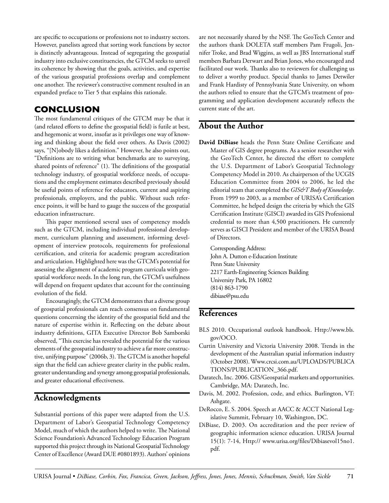are specific to occupations or professions not to industry sectors. However, panelists agreed that sorting work functions by sector is distinctly advantageous. Instead of segregating the geospatial industry into exclusive constituencies, the GTCM seeks to unveil its coherence by showing that the goals, activities, and expertise of the various geospatial professions overlap and complement one another. The reviewer's constructive comment resulted in an expanded preface to Tier 5 that explains this rationale.

# **Conclusion**

The most fundamental critiques of the GTCM may be that it (and related efforts to define the geospatial field) is futile at best, and hegemonic at worst, insofar as it privileges one way of knowing and thinking about the field over others. As Davis (2002) says, "[N]obody likes a definition." However, he also points out, "Definitions are to writing what benchmarks are to surveying, shared points of reference" (1). The definitions of the geospatial technology industry, of geospatial workforce needs, of occupations and the employment estimates described previously should be useful points of reference for educators, current and aspiring professionals, employers, and the public. Without such reference points, it will be hard to gauge the success of the geospatial education infrastructure.

This paper mentioned several uses of competency models such as the GTCM, including individual professional development, curriculum planning and assessment, informing development of interview protocols, requirements for professional certification, and criteria for academic program accreditation and articulation. Highlighted here was the GTCM's potential for assessing the alignment of academic program curricula with geospatial workforce needs. In the long run, the GTCM's usefulness will depend on frequent updates that account for the continuing evolution of the field.

Encouragingly, the GTCM demonstrates that a diverse group of geospatial professionals can reach consensus on fundamental questions concerning the identity of the geospatial field and the nature of expertise within it. Reflecting on the debate about industry definitions, GITA Executive Director Bob Samborski observed, "This exercise has revealed the potential for the various elements of the geospatial industry to achieve a far more constructive, unifying purpose" (2006b, 3). The GTCM is another hopeful sign that the field can achieve greater clarity in the public realm, greater understanding and synergy among geospatial professionals, and greater educational effectiveness.

# **Acknowledgments**

Substantial portions of this paper were adapted from the U.S. Department of Labor's Geospatial Technology Competency Model, much of which the authors helped to write. The National Science Foundation's Advanced Technology Education Program supported this project through its National Geospatial Technology Center of Excellence (Award DUE #0801893). Authors' opinions are not necessarily shared by the NSF. The GeoTech Center and the authors thank DOLETA staff members Pam Frugoli, Jennifer Troke, and Brad Wiggins, as well as JBS International staff members Barbara Derwart and Brian Jones, who encouraged and facilitated our work. Thanks also to reviewers for challenging us to deliver a worthy product. Special thanks to James Detwiler and Frank Hardisty of Pennsylvania State University, on whom the authors relied to ensure that the GTCM's treatment of programming and application development accurately reflects the current state of the art.

# **About the Author**

**David DiBiase** heads the Penn State Online Certificate and Master of GIS degree programs. As a senior researcher with the GeoTech Center, he directed the effort to complete the U.S. Department of Labor's Geospatial Technology Competency Model in 2010. As chairperson of the UCGIS Education Committee from 2004 to 2006, he led the editorial team that completed the *GIS&T Body of Knowledge*. From 1999 to 2003, as a member of URISA's Certification Committee, he helped design the criteria by which the GIS Certification Institute (GISCI) awarded its GIS Professional credential to more than 4,500 practitioners. He currently serves as GISCI President and member of the URISA Board of Directors.

Corresponding Address: John A. Dutton e-Education Institute Penn State University 2217 Earth-Engineering Sciences Building University Park, PA 16802 (814) 863-1790 dibiase@psu.edu

# **References**

- BLS 2010. Occupational outlook handbook. Http://www.bls. gov/OCO.
- Curtin University and Victoria University 2008. Trends in the development of the Australian spatial information industry (October 2008). Www.crcsi.com.au/UPLOADS/PUBLICA TIONS/PUBLICATION\_366.pdf.
- Daratech, Inc. 2006. GIS/Geospatial markets and opportunities. Cambridge, MA: Daratech, Inc.
- Davis, M. 2002. Profession, code, and ethics. Burlington, VT: Ashgate.
- DeRocco, E. S. 2004. Speech at AACC & ACCT National Legislative Summit, February 10, Washington, DC.
- DiBiase, D. 2003. On accreditation and the peer review of geographic information science education. URISA Journal 15(1): 7-14, Http:// www.urisa.org/files/Dibiasevol15no1. pdf.